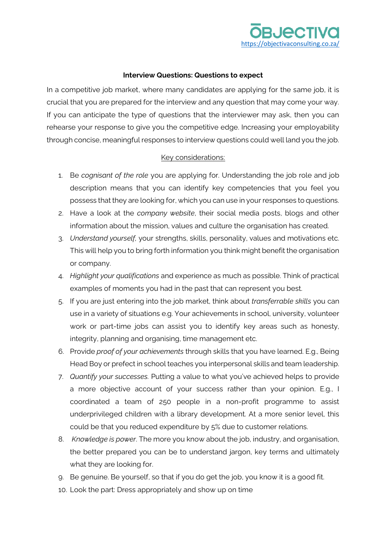

## **Interview Questions: Questions to expect**

In a competitive job market, where many candidates are applying for the same job, it is crucial that you are prepared for the interview and any question that may come your way. If you can anticipate the type of questions that the interviewer may ask, then you can rehearse your response to give you the competitive edge. Increasing your employability through concise, meaningful responses to interview questions could well land you the job.

## Key considerations:

- 1. Be *cognisant of the role* you are applying for. Understanding the job role and job description means that you can identify key competencies that you feel you possess that they are looking for, which you can use in your responses to questions.
- 2. Have a look at the *company website*, their social media posts, blogs and other information about the mission, values and culture the organisation has created.
- 3. *Understand yourself,* your strengths, skills, personality, values and motivations etc. This will help you to bring forth information you think might benefit the organisation or company.
- 4. *Highlight your qualifications* and experience as much as possible. Think of practical examples of moments you had in the past that can represent you best.
- 5. If you are just entering into the job market, think about *transferrable skills* you can use in a variety of situations e.g. Your achievements in school, university, volunteer work or part-time jobs can assist you to identify key areas such as honesty, integrity, planning and organising, time management etc.
- 6. Provide *proof of your achievements* through skills that you have learned. E.g., Being Head Boy or prefect in school teaches you interpersonal skills and team leadership.
- 7. *Quantify your successes.* Putting a value to what you've achieved helps to provide a more objective account of your success rather than your opinion. E.g., I coordinated a team of 250 people in a non-profit programme to assist underprivileged children with a library development. At a more senior level, this could be that you reduced expenditure by 5% due to customer relations.
- 8. *Knowledge is power*. The more you know about the job, industry, and organisation, the better prepared you can be to understand jargon, key terms and ultimately what they are looking for.
- 9. Be genuine. Be yourself, so that if you do get the job, you know it is a good fit.
- 10. Look the part: Dress appropriately and show up on time